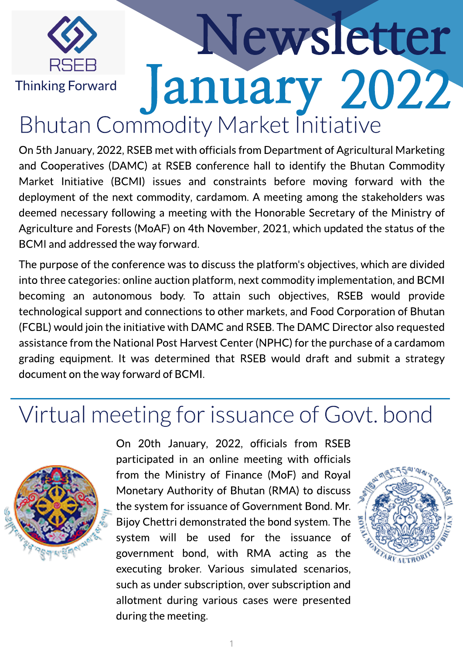

# Newsletter January 2022 Bhutan Commodity Market Initiative

On 5th January, 2022, RSEB met with officials from Department of Agricultural Marketing and Cooperatives (DAMC) at RSEB conference hall to identify the Bhutan Commodity Market Initiative (BCMI) issues and constraints before moving forward with the deployment of the next commodity, cardamom. A meeting among the stakeholders was deemed necessary following a meeting with the Honorable Secretary of the Ministry of Agriculture and Forests (MoAF) on 4th November, 2021, which updated the status of the BCMI and addressed the way forward.

The purpose of the conference was to discuss the platform's objectives, which are divided into three categories: online auction platform, next commodity implementation, and BCMI becoming an autonomous body. To attain such objectives, RSEB would provide technological support and connections to other markets, and Food Corporation of Bhutan (FCBL) would join the initiative with DAMC and RSEB.The DAMC Director also requested assistance from the National Post Harvest Center (NPHC) for the purchase of a cardamom grading equipment. It was determined that RSEB would draft and submit a strategy document on the way forward of BCMI.

#### Virtual meeting for issuance of Govt. bond



On 20th January, 2022, officials from RSEB participated in an online meeting with officials from the Ministry of Finance (MoF) and Royal Monetary Authority of Bhutan (RMA) to discuss the system for issuance of Government Bond. Mr. Bijoy Chettri demonstrated the bond system. The system will be used for the issuance of government bond, with RMA acting as the executing broker. Various simulated scenarios, such as under subscription, over subscription and allotment during various cases were presented during the meeting.

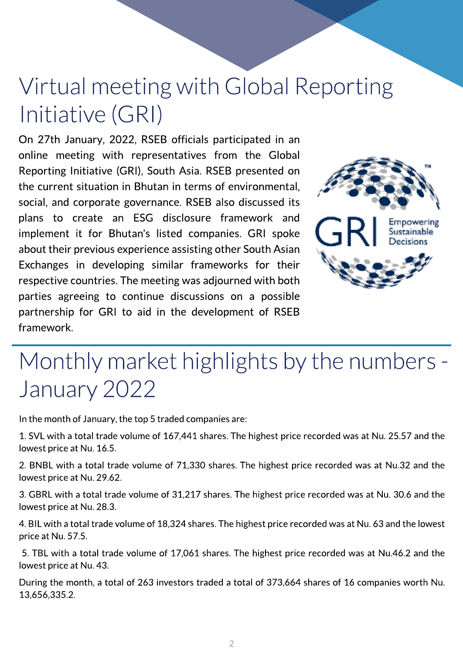## Virtual meeting with Global Reporting Initiative (GRI)

On 27th January, 2022, RSEB officials participated in an online meeting with representatives from the Global Reporting Initiative (GRI), South Asia. RSEB presented on the current situation in Bhutan in terms of environmental, social, and corporate governance. RSEB also discussed its plans to create an ESG disclosure framework and implement it for Bhutan's listed companies. GRI spoke about their previous experience assisting other South Asian Exchanges in developing similar frameworks for their respective countries.The meeting was adjourned with both parties agreeing to continue discussions on a possible partnership for GRI to aid in the development of RSEB framework.



### Monthly market highlights by the numbers -January 2022

In the month of January, the top 5 traded companies are:

1. SVL with a total trade volume of 167,441 shares. The highest price recorded was at Nu. 25.57 and the lowest price at Nu. 16.5.

2. BNBL with a total trade volume of 71,330 shares. The highest price recorded was at Nu.32 and the lowest price at Nu.29.62.

3. GBRL with a total trade volume of 31,217 shares. The highest price recorded was at Nu. 30.6 and the lowest price at Nu.28.3.

4. BIL with a total trade volume of 18,324 shares. The highest price recorded was at Nu. 63 and the lowest price at Nu.57.5.

5. TBL with a total trade volume of 17,061 shares. The highest price recorded was at Nu.46.2 and the lowest price at Nu.43.

During the month, a total of 263 investors traded a total of 373,664 shares of 16 companies worth Nu. 13,656,335.2.